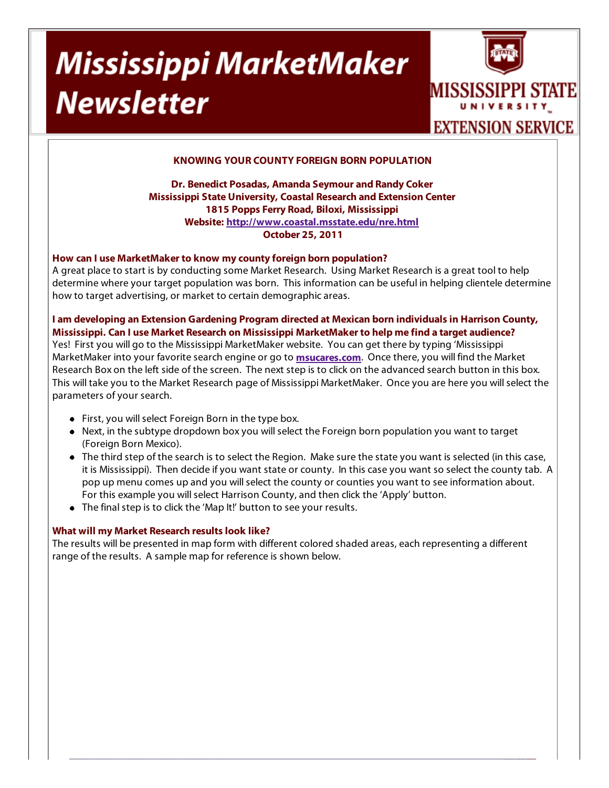# Mississippi MarketMaker **Newsletter**



## **KNOWING YOUR COUNTY FOREIGN BORN POPULATION**

**Dr. Benedict Posadas, Amanda Seymour and Randy Coker Mississippi State University, Coastal Research and Extension Center 1815 Popps Ferry Road, Biloxi, Mississippi Website: http://www.coastal.msstate.edu/nre.html October 25, 2011**

### **How can I use MarketMaker to know my county foreign born population?**

A great place to start is by conducting some Market Research. Using Market Research is a great tool to help determine where your target population was born. This information can be useful in helping clientele determine how to target advertising, or market to certain demographic areas.

**I am developing an Extension Gardening Program directed at Mexican born individuals in Harrison County, Mississippi. Can I use Market Research on Mississippi MarketMaker to help me find a target audience?** 

Yes! First you will go to the Mississippi MarketMaker website. You can get there by typing 'Mississippi MarketMaker into your favorite search engine or go to **msucares.com**. Once there, you will find the Market Research Box on the left side of the screen. The next step is to click on the advanced search button in this box. This will take you to the Market Research page of Mississippi MarketMaker. Once you are here you will select the parameters of your search.

- First, you will select Foreign Born in the type box.
- Next, in the subtype dropdown box you will select the Foreign born population you want to target (Foreign Born Mexico).
- The third step of the search is to select the Region. Make sure the state you want is selected (in this case, it is Mississippi). Then decide if you want state or county. In this case you want so select the county tab. A pop up menu comes up and you will select the county or counties you want to see information about. For this example you will select Harrison County, and then click the 'Apply' button.
- The final step is to click the 'Map It!' button to see your results.

### **What will my Market Research results look like?**

The results will be presented in map form with different colored shaded areas, each representing a different range of the results. A sample map for reference is shown below.